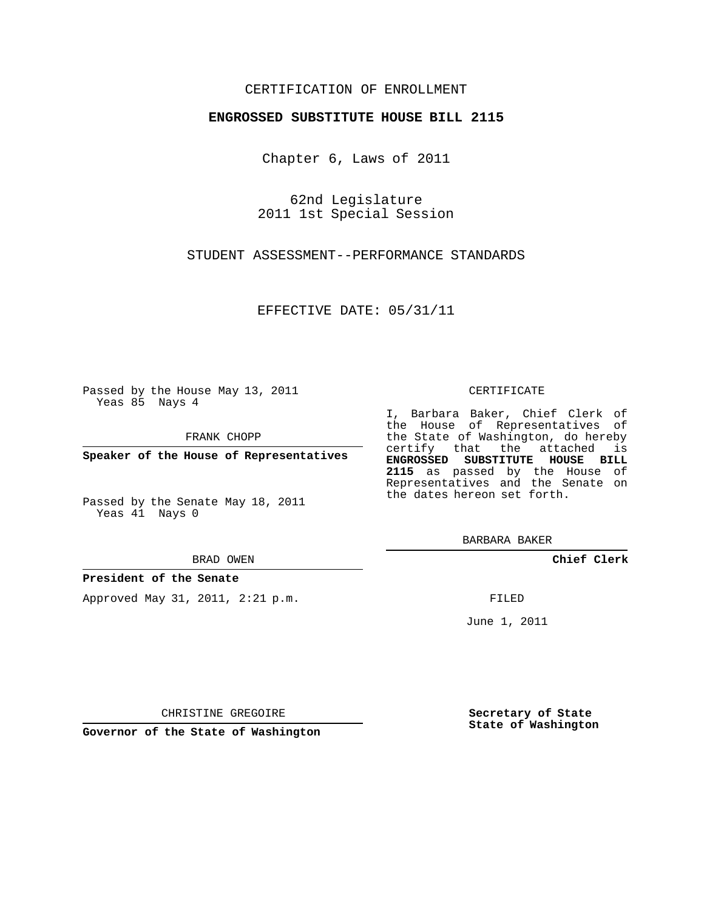## CERTIFICATION OF ENROLLMENT

## **ENGROSSED SUBSTITUTE HOUSE BILL 2115**

Chapter 6, Laws of 2011

62nd Legislature 2011 1st Special Session

STUDENT ASSESSMENT--PERFORMANCE STANDARDS

EFFECTIVE DATE: 05/31/11

Passed by the House May 13, 2011 Yeas 85 Nays 4

FRANK CHOPP

**Speaker of the House of Representatives**

Passed by the Senate May 18, 2011 Yeas 41 Nays 0

BRAD OWEN

**President of the Senate**

Approved May 31, 2011, 2:21 p.m.

## CERTIFICATE

I, Barbara Baker, Chief Clerk of the House of Representatives of the State of Washington, do hereby certify that the attached is **ENGROSSED SUBSTITUTE HOUSE BILL 2115** as passed by the House of Representatives and the Senate on the dates hereon set forth.

BARBARA BAKER

**Chief Clerk**

FILED

June 1, 2011

**Secretary of State State of Washington**

CHRISTINE GREGOIRE

**Governor of the State of Washington**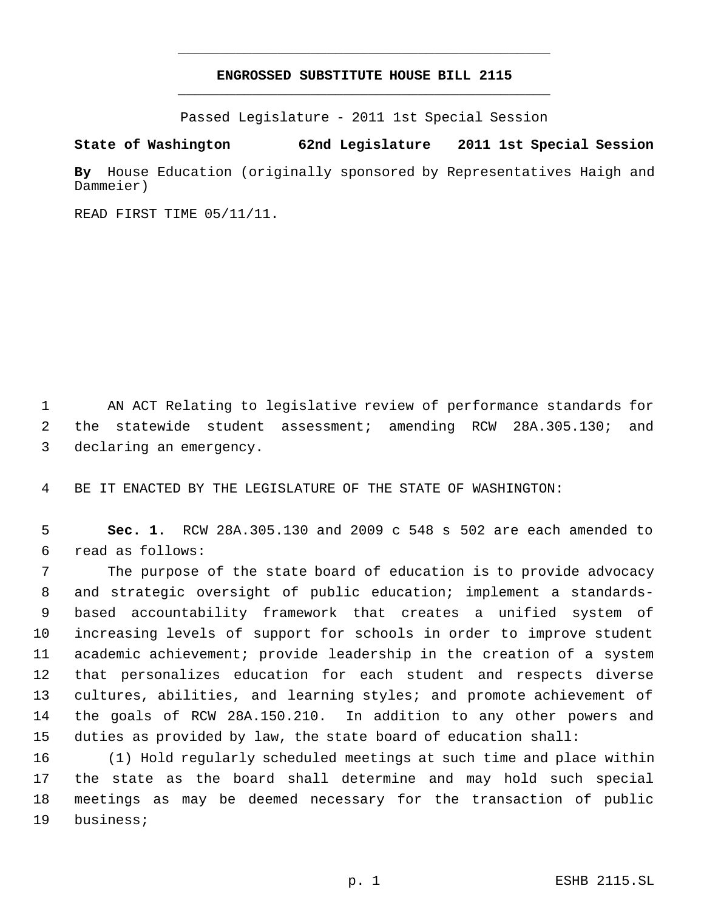## **ENGROSSED SUBSTITUTE HOUSE BILL 2115** \_\_\_\_\_\_\_\_\_\_\_\_\_\_\_\_\_\_\_\_\_\_\_\_\_\_\_\_\_\_\_\_\_\_\_\_\_\_\_\_\_\_\_\_\_

\_\_\_\_\_\_\_\_\_\_\_\_\_\_\_\_\_\_\_\_\_\_\_\_\_\_\_\_\_\_\_\_\_\_\_\_\_\_\_\_\_\_\_\_\_

Passed Legislature - 2011 1st Special Session

**State of Washington 62nd Legislature 2011 1st Special Session**

**By** House Education (originally sponsored by Representatives Haigh and Dammeier)

READ FIRST TIME 05/11/11.

 AN ACT Relating to legislative review of performance standards for the statewide student assessment; amending RCW 28A.305.130; and declaring an emergency.

BE IT ENACTED BY THE LEGISLATURE OF THE STATE OF WASHINGTON:

 **Sec. 1.** RCW 28A.305.130 and 2009 c 548 s 502 are each amended to read as follows:

 The purpose of the state board of education is to provide advocacy and strategic oversight of public education; implement a standards- based accountability framework that creates a unified system of increasing levels of support for schools in order to improve student academic achievement; provide leadership in the creation of a system that personalizes education for each student and respects diverse cultures, abilities, and learning styles; and promote achievement of the goals of RCW 28A.150.210. In addition to any other powers and duties as provided by law, the state board of education shall:

 (1) Hold regularly scheduled meetings at such time and place within the state as the board shall determine and may hold such special meetings as may be deemed necessary for the transaction of public business;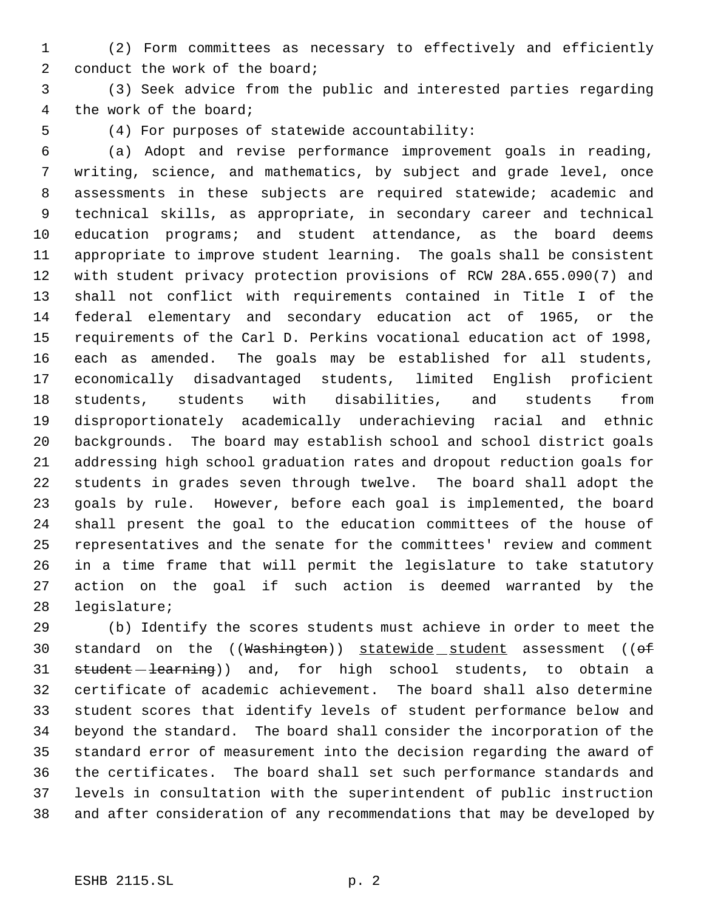(2) Form committees as necessary to effectively and efficiently 2 conduct the work of the board;

 (3) Seek advice from the public and interested parties regarding the work of the board;

(4) For purposes of statewide accountability:

 (a) Adopt and revise performance improvement goals in reading, writing, science, and mathematics, by subject and grade level, once assessments in these subjects are required statewide; academic and technical skills, as appropriate, in secondary career and technical education programs; and student attendance, as the board deems appropriate to improve student learning. The goals shall be consistent with student privacy protection provisions of RCW 28A.655.090(7) and shall not conflict with requirements contained in Title I of the federal elementary and secondary education act of 1965, or the requirements of the Carl D. Perkins vocational education act of 1998, each as amended. The goals may be established for all students, economically disadvantaged students, limited English proficient students, students with disabilities, and students from disproportionately academically underachieving racial and ethnic backgrounds. The board may establish school and school district goals addressing high school graduation rates and dropout reduction goals for students in grades seven through twelve. The board shall adopt the goals by rule. However, before each goal is implemented, the board shall present the goal to the education committees of the house of representatives and the senate for the committees' review and comment in a time frame that will permit the legislature to take statutory action on the goal if such action is deemed warranted by the legislature;

 (b) Identify the scores students must achieve in order to meet the 30 standard on the ((Washington)) statewide student assessment ((of 31 student - learning)) and, for high school students, to obtain a certificate of academic achievement. The board shall also determine student scores that identify levels of student performance below and beyond the standard. The board shall consider the incorporation of the standard error of measurement into the decision regarding the award of the certificates. The board shall set such performance standards and levels in consultation with the superintendent of public instruction and after consideration of any recommendations that may be developed by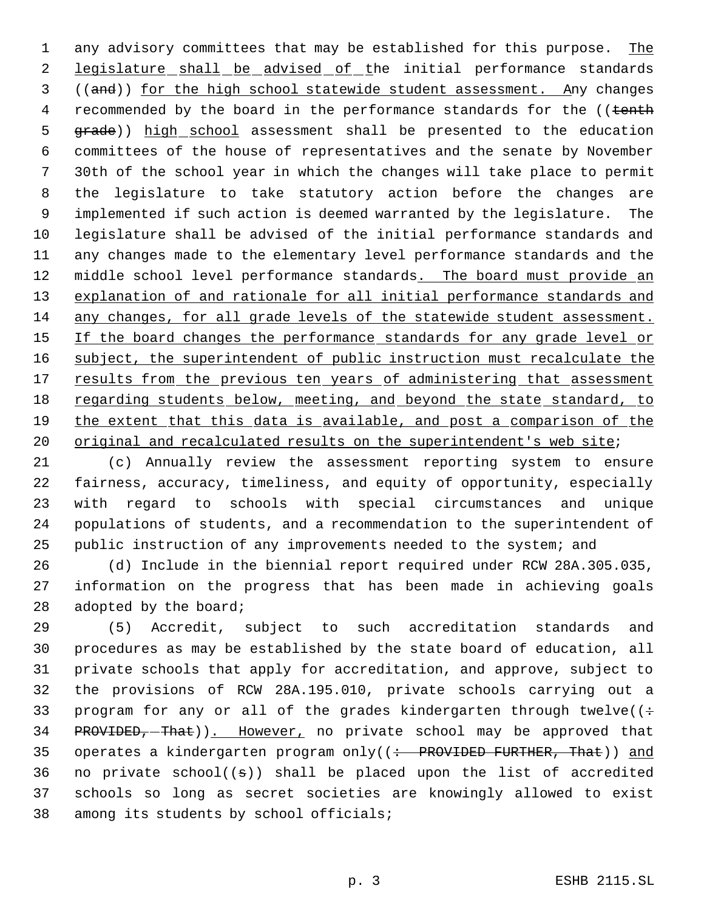1 any advisory committees that may be established for this purpose. The 2 legislature shall be advised of the initial performance standards 3 ((and)) for the high school statewide student assessment. Any changes 4 recommended by the board in the performance standards for the ((tenth 5 grade)) high school assessment shall be presented to the education 6 committees of the house of representatives and the senate by November 7 30th of the school year in which the changes will take place to permit 8 the legislature to take statutory action before the changes are 9 implemented if such action is deemed warranted by the legislature. The 10 legislature shall be advised of the initial performance standards and 11 any changes made to the elementary level performance standards and the 12 middle school level performance standards. The board must provide an 13 explanation of and rationale for all initial performance standards and 14 any changes, for all grade levels of the statewide student assessment. 15 If the board changes the performance standards for any grade level or 16 subject, the superintendent of public instruction must recalculate the 17 results from the previous ten years of administering that assessment 18 regarding students below, meeting, and beyond the state standard, to 19 the extent that this data is available, and post a comparison of the 20 original and recalculated results on the superintendent's web site;

 (c) Annually review the assessment reporting system to ensure fairness, accuracy, timeliness, and equity of opportunity, especially with regard to schools with special circumstances and unique populations of students, and a recommendation to the superintendent of public instruction of any improvements needed to the system; and

26 (d) Include in the biennial report required under RCW 28A.305.035, 27 information on the progress that has been made in achieving goals 28 adopted by the board;

29 (5) Accredit, subject to such accreditation standards and 30 procedures as may be established by the state board of education, all 31 private schools that apply for accreditation, and approve, subject to 32 the provisions of RCW 28A.195.010, private schools carrying out a 33 program for any or all of the grades kindergarten through twelve( $($ : 34 PROVIDED, That)). However, no private school may be approved that 35 operates a kindergarten program only((: PROVIDED FURTHER, That)) and 36 no private  $school((s))$  shall be placed upon the list of accredited 37 schools so long as secret societies are knowingly allowed to exist 38 among its students by school officials;